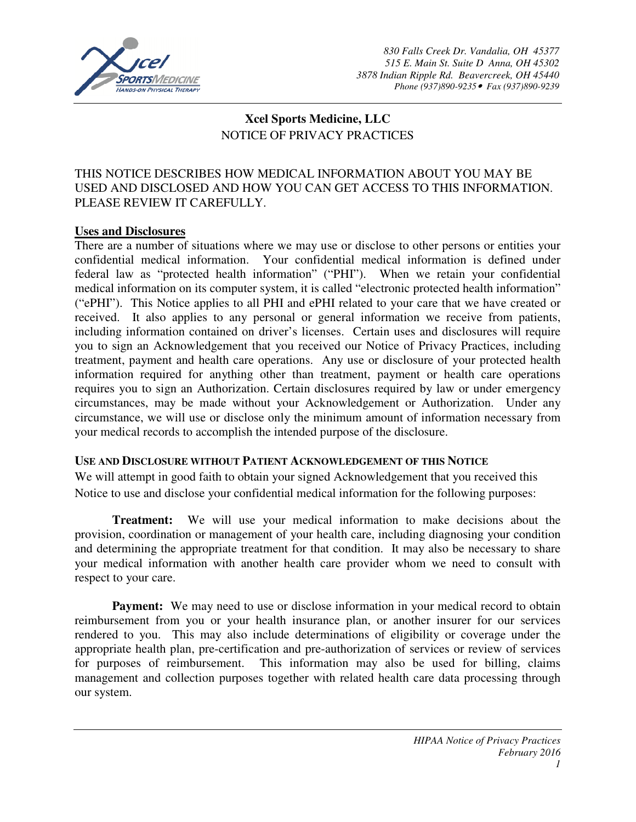

# **Xcel Sports Medicine, LLC**  NOTICE OF PRIVACY PRACTICES

# THIS NOTICE DESCRIBES HOW MEDICAL INFORMATION ABOUT YOU MAY BE USED AND DISCLOSED AND HOW YOU CAN GET ACCESS TO THIS INFORMATION. PLEASE REVIEW IT CAREFULLY.

#### **Uses and Disclosures**

There are a number of situations where we may use or disclose to other persons or entities your confidential medical information. Your confidential medical information is defined under federal law as "protected health information" ("PHI"). When we retain your confidential medical information on its computer system, it is called "electronic protected health information" ("ePHI"). This Notice applies to all PHI and ePHI related to your care that we have created or received. It also applies to any personal or general information we receive from patients, including information contained on driver's licenses. Certain uses and disclosures will require you to sign an Acknowledgement that you received our Notice of Privacy Practices, including treatment, payment and health care operations. Any use or disclosure of your protected health information required for anything other than treatment, payment or health care operations requires you to sign an Authorization. Certain disclosures required by law or under emergency circumstances, may be made without your Acknowledgement or Authorization. Under any circumstance, we will use or disclose only the minimum amount of information necessary from your medical records to accomplish the intended purpose of the disclosure.

#### **USE AND DISCLOSURE WITHOUT PATIENT ACKNOWLEDGEMENT OF THIS NOTICE**

We will attempt in good faith to obtain your signed Acknowledgement that you received this Notice to use and disclose your confidential medical information for the following purposes:

**Treatment:** We will use your medical information to make decisions about the provision, coordination or management of your health care, including diagnosing your condition and determining the appropriate treatment for that condition. It may also be necessary to share your medical information with another health care provider whom we need to consult with respect to your care.

**Payment:** We may need to use or disclose information in your medical record to obtain reimbursement from you or your health insurance plan, or another insurer for our services rendered to you. This may also include determinations of eligibility or coverage under the appropriate health plan, pre-certification and pre-authorization of services or review of services for purposes of reimbursement. This information may also be used for billing, claims management and collection purposes together with related health care data processing through our system.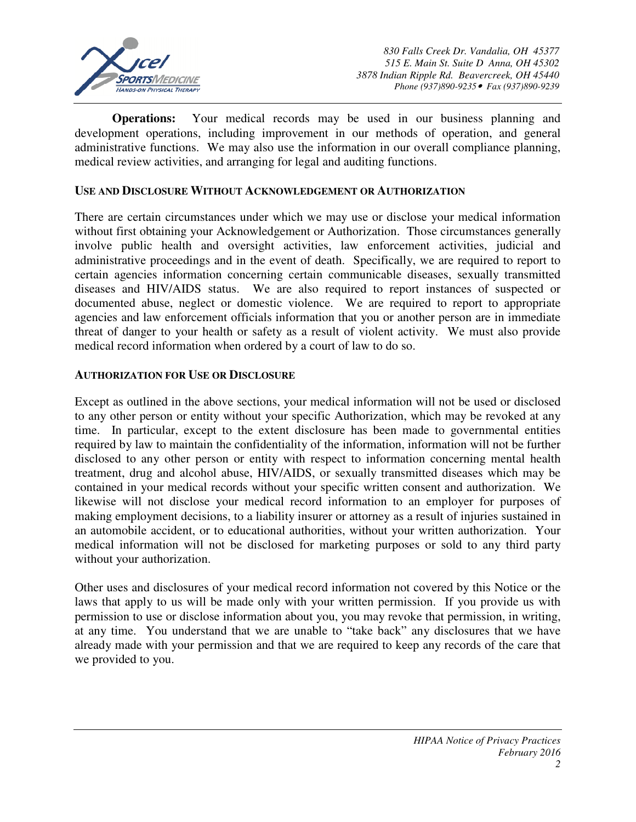

**Operations:** Your medical records may be used in our business planning and development operations, including improvement in our methods of operation, and general administrative functions. We may also use the information in our overall compliance planning, medical review activities, and arranging for legal and auditing functions.

#### **USE AND DISCLOSURE WITHOUT ACKNOWLEDGEMENT OR AUTHORIZATION**

There are certain circumstances under which we may use or disclose your medical information without first obtaining your Acknowledgement or Authorization. Those circumstances generally involve public health and oversight activities, law enforcement activities, judicial and administrative proceedings and in the event of death. Specifically, we are required to report to certain agencies information concerning certain communicable diseases, sexually transmitted diseases and HIV/AIDS status. We are also required to report instances of suspected or documented abuse, neglect or domestic violence. We are required to report to appropriate agencies and law enforcement officials information that you or another person are in immediate threat of danger to your health or safety as a result of violent activity. We must also provide medical record information when ordered by a court of law to do so.

#### **AUTHORIZATION FOR USE OR DISCLOSURE**

Except as outlined in the above sections, your medical information will not be used or disclosed to any other person or entity without your specific Authorization, which may be revoked at any time. In particular, except to the extent disclosure has been made to governmental entities required by law to maintain the confidentiality of the information, information will not be further disclosed to any other person or entity with respect to information concerning mental health treatment, drug and alcohol abuse, HIV/AIDS, or sexually transmitted diseases which may be contained in your medical records without your specific written consent and authorization. We likewise will not disclose your medical record information to an employer for purposes of making employment decisions, to a liability insurer or attorney as a result of injuries sustained in an automobile accident, or to educational authorities, without your written authorization. Your medical information will not be disclosed for marketing purposes or sold to any third party without your authorization.

Other uses and disclosures of your medical record information not covered by this Notice or the laws that apply to us will be made only with your written permission. If you provide us with permission to use or disclose information about you, you may revoke that permission, in writing, at any time. You understand that we are unable to "take back" any disclosures that we have already made with your permission and that we are required to keep any records of the care that we provided to you.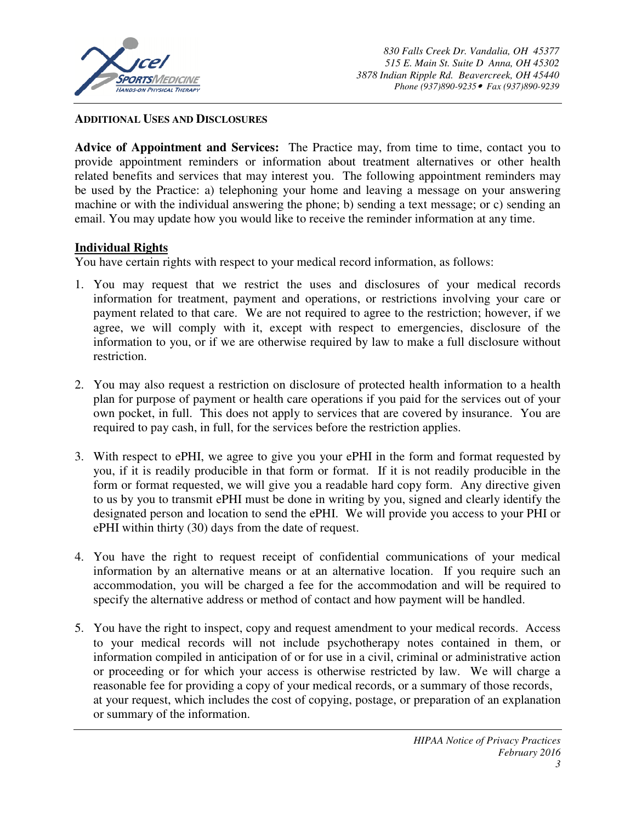

#### **ADDITIONAL USES AND DISCLOSURES**

**Advice of Appointment and Services:** The Practice may, from time to time, contact you to provide appointment reminders or information about treatment alternatives or other health related benefits and services that may interest you. The following appointment reminders may be used by the Practice: a) telephoning your home and leaving a message on your answering machine or with the individual answering the phone; b) sending a text message; or c) sending an email. You may update how you would like to receive the reminder information at any time.

#### **Individual Rights**

You have certain rights with respect to your medical record information, as follows:

- 1. You may request that we restrict the uses and disclosures of your medical records information for treatment, payment and operations, or restrictions involving your care or payment related to that care. We are not required to agree to the restriction; however, if we agree, we will comply with it, except with respect to emergencies, disclosure of the information to you, or if we are otherwise required by law to make a full disclosure without restriction.
- 2. You may also request a restriction on disclosure of protected health information to a health plan for purpose of payment or health care operations if you paid for the services out of your own pocket, in full. This does not apply to services that are covered by insurance. You are required to pay cash, in full, for the services before the restriction applies.
- 3. With respect to ePHI, we agree to give you your ePHI in the form and format requested by you, if it is readily producible in that form or format. If it is not readily producible in the form or format requested, we will give you a readable hard copy form. Any directive given to us by you to transmit ePHI must be done in writing by you, signed and clearly identify the designated person and location to send the ePHI. We will provide you access to your PHI or ePHI within thirty (30) days from the date of request.
- 4. You have the right to request receipt of confidential communications of your medical information by an alternative means or at an alternative location. If you require such an accommodation, you will be charged a fee for the accommodation and will be required to specify the alternative address or method of contact and how payment will be handled.
- 5. You have the right to inspect, copy and request amendment to your medical records. Access to your medical records will not include psychotherapy notes contained in them, or information compiled in anticipation of or for use in a civil, criminal or administrative action or proceeding or for which your access is otherwise restricted by law. We will charge a reasonable fee for providing a copy of your medical records, or a summary of those records, at your request, which includes the cost of copying, postage, or preparation of an explanation or summary of the information.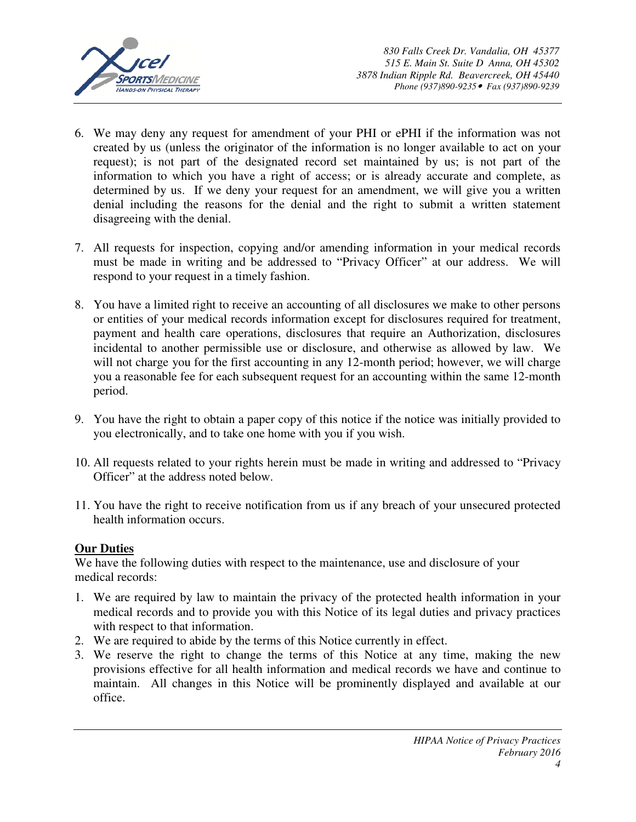

- 6. We may deny any request for amendment of your PHI or ePHI if the information was not created by us (unless the originator of the information is no longer available to act on your request); is not part of the designated record set maintained by us; is not part of the information to which you have a right of access; or is already accurate and complete, as determined by us. If we deny your request for an amendment, we will give you a written denial including the reasons for the denial and the right to submit a written statement disagreeing with the denial.
- 7. All requests for inspection, copying and/or amending information in your medical records must be made in writing and be addressed to "Privacy Officer" at our address. We will respond to your request in a timely fashion.
- 8. You have a limited right to receive an accounting of all disclosures we make to other persons or entities of your medical records information except for disclosures required for treatment, payment and health care operations, disclosures that require an Authorization, disclosures incidental to another permissible use or disclosure, and otherwise as allowed by law. We will not charge you for the first accounting in any 12-month period; however, we will charge you a reasonable fee for each subsequent request for an accounting within the same 12-month period.
- 9. You have the right to obtain a paper copy of this notice if the notice was initially provided to you electronically, and to take one home with you if you wish.
- 10. All requests related to your rights herein must be made in writing and addressed to "Privacy Officer" at the address noted below.
- 11. You have the right to receive notification from us if any breach of your unsecured protected health information occurs.

# **Our Duties**

We have the following duties with respect to the maintenance, use and disclosure of your medical records:

- 1. We are required by law to maintain the privacy of the protected health information in your medical records and to provide you with this Notice of its legal duties and privacy practices with respect to that information.
- 2. We are required to abide by the terms of this Notice currently in effect.
- 3. We reserve the right to change the terms of this Notice at any time, making the new provisions effective for all health information and medical records we have and continue to maintain. All changes in this Notice will be prominently displayed and available at our office.